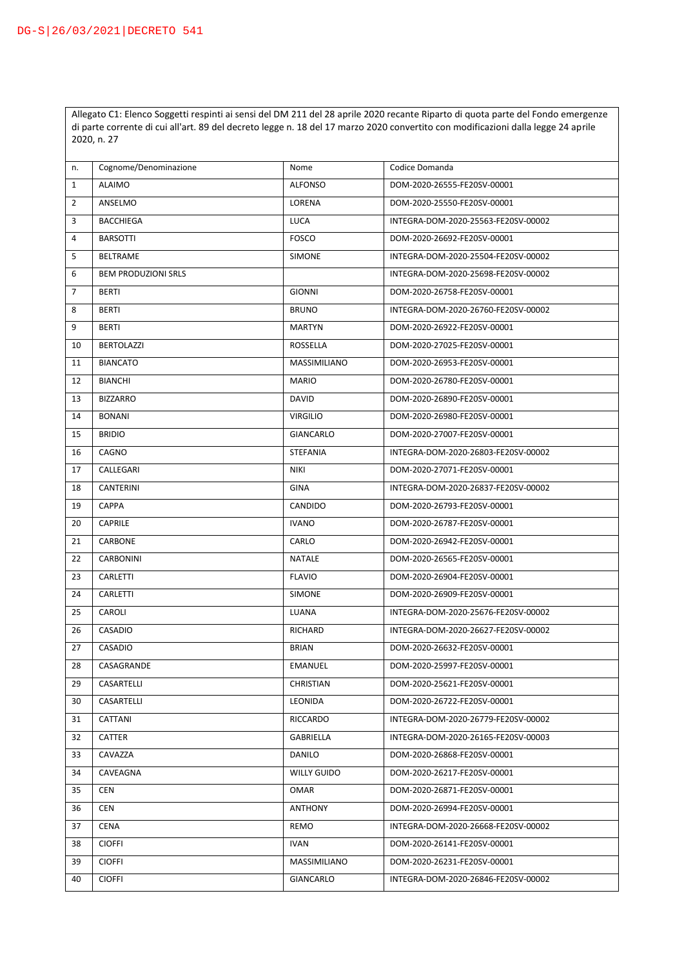Allegato C1: Elenco Soggetti respinti ai sensi del DM 211 del 28 aprile 2020 recante Riparto di quota parte del Fondo emergenze di parte corrente di cui all'art. 89 del decreto legge n. 18 del 17 marzo 2020 convertito con modificazioni dalla legge 24 aprile 2020, n. 27

| n.             | Cognome/Denominazione      | Nome            | Codice Domanda                      |
|----------------|----------------------------|-----------------|-------------------------------------|
| $\mathbf{1}$   | <b>ALAIMO</b>              | <b>ALFONSO</b>  | DOM-2020-26555-FE20SV-00001         |
| $\overline{2}$ | ANSELMO                    | LORENA          | DOM-2020-25550-FE20SV-00001         |
| 3              | <b>BACCHIEGA</b>           | <b>LUCA</b>     | INTEGRA-DOM-2020-25563-FE20SV-00002 |
| 4              | <b>BARSOTTI</b>            | <b>FOSCO</b>    | DOM-2020-26692-FE20SV-00001         |
| 5              | <b>BELTRAME</b>            | <b>SIMONE</b>   | INTEGRA-DOM-2020-25504-FE20SV-00002 |
| 6              | <b>BEM PRODUZIONI SRLS</b> |                 | INTEGRA-DOM-2020-25698-FE20SV-00002 |
| $\overline{7}$ | <b>BERTI</b>               | <b>GIONNI</b>   | DOM-2020-26758-FE20SV-00001         |
| 8              | <b>BERTI</b>               | <b>BRUNO</b>    | INTEGRA-DOM-2020-26760-FE20SV-00002 |
| 9              | <b>BERTI</b>               | <b>MARTYN</b>   | DOM-2020-26922-FE20SV-00001         |
| 10             | <b>BERTOLAZZI</b>          | ROSSELLA        | DOM-2020-27025-FE20SV-00001         |
| 11             | <b>BIANCATO</b>            | MASSIMILIANO    | DOM-2020-26953-FE20SV-00001         |
| 12             | <b>BIANCHI</b>             | <b>MARIO</b>    | DOM-2020-26780-FE20SV-00001         |
| 13             | <b>BIZZARRO</b>            | DAVID           | DOM-2020-26890-FE20SV-00001         |
| 14             | <b>BONANI</b>              | <b>VIRGILIO</b> | DOM-2020-26980-FE20SV-00001         |
| 15             | <b>BRIDIO</b>              | GIANCARLO       | DOM-2020-27007-FE20SV-00001         |
| 16             | CAGNO                      | STEFANIA        | INTEGRA-DOM-2020-26803-FE20SV-00002 |
| 17             | CALLEGARI                  | <b>NIKI</b>     | DOM-2020-27071-FE20SV-00001         |
| 18             | CANTERINI                  | <b>GINA</b>     | INTEGRA-DOM-2020-26837-FE20SV-00002 |
| 19             | CAPPA                      | CANDIDO         | DOM-2020-26793-FE20SV-00001         |
| 20             | <b>CAPRILE</b>             | <b>IVANO</b>    | DOM-2020-26787-FE20SV-00001         |
| 21             | CARBONE                    | CARLO           | DOM-2020-26942-FE20SV-00001         |
| 22             | CARBONINI                  | NATALE          | DOM-2020-26565-FE20SV-00001         |
| 23             | CARLETTI                   | <b>FLAVIO</b>   | DOM-2020-26904-FE20SV-00001         |
| 24             | CARLETTI                   | SIMONE          | DOM-2020-26909-FE20SV-00001         |
| 25             | CAROLI                     | LUANA           | INTEGRA-DOM-2020-25676-FE20SV-00002 |
| 26             | CASADIO                    | RICHARD         | INTEGRA-DOM-2020-26627-FE20SV-00002 |
| 27             | CASADIO                    | <b>BRIAN</b>    | DOM-2020-26632-FE20SV-00001         |
| 28             | CASAGRANDE                 | <b>EMANUEL</b>  | DOM-2020-25997-FE20SV-00001         |
| 29             | CASARTELLI                 | CHRISTIAN       | DOM-2020-25621-FE20SV-00001         |
| 30             | CASARTELLI                 | LEONIDA         | DOM-2020-26722-FE20SV-00001         |
| 31             | CATTANI                    | RICCARDO        | INTEGRA-DOM-2020-26779-FE20SV-00002 |
| 32             | CATTER                     | GABRIELLA       | INTEGRA-DOM-2020-26165-FE20SV-00003 |
| 33             | CAVAZZA                    | <b>DANILO</b>   | DOM-2020-26868-FE20SV-00001         |
| 34             | CAVEAGNA                   | WILLY GUIDO     | DOM-2020-26217-FE20SV-00001         |
| 35             | CEN                        | OMAR            | DOM-2020-26871-FE20SV-00001         |
| 36             | CEN                        | ANTHONY         | DOM-2020-26994-FE20SV-00001         |
| 37             | CENA                       | REMO            | INTEGRA-DOM-2020-26668-FE20SV-00002 |
| 38             | <b>CIOFFI</b>              | <b>IVAN</b>     | DOM-2020-26141-FE20SV-00001         |
| 39             | <b>CIOFFI</b>              | MASSIMILIANO    | DOM-2020-26231-FE20SV-00001         |
| 40             | <b>CIOFFI</b>              | GIANCARLO       | INTEGRA-DOM-2020-26846-FE20SV-00002 |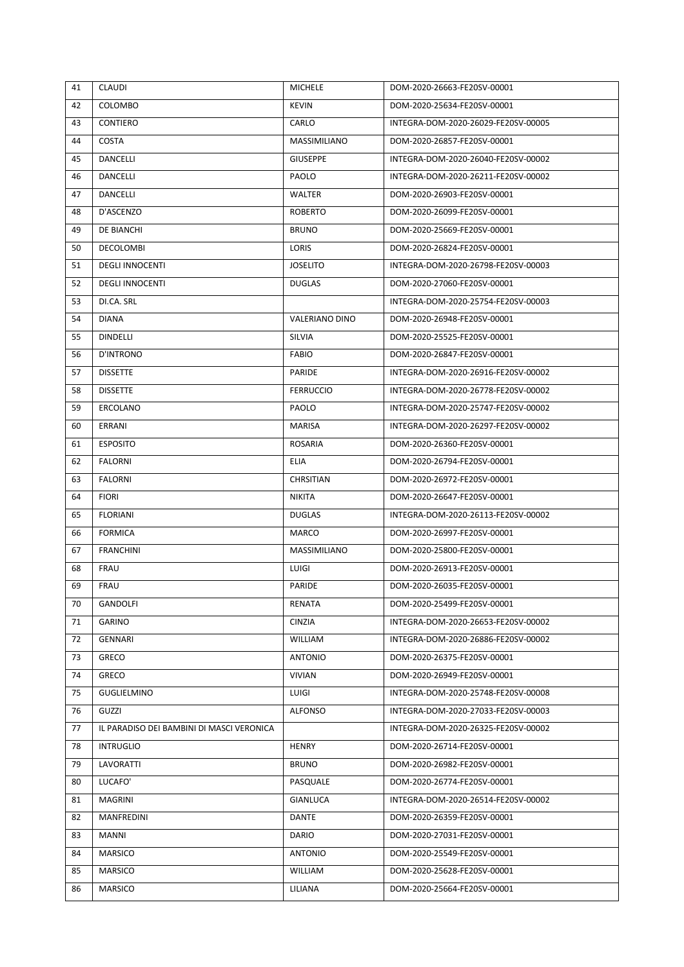| 41 | <b>CLAUDI</b>                             | <b>MICHELE</b>   | DOM-2020-26663-FE20SV-00001         |
|----|-------------------------------------------|------------------|-------------------------------------|
| 42 | COLOMBO                                   | <b>KEVIN</b>     | DOM-2020-25634-FE20SV-00001         |
| 43 | <b>CONTIERO</b>                           | CARLO            | INTEGRA-DOM-2020-26029-FE20SV-00005 |
| 44 | COSTA                                     | MASSIMILIANO     | DOM-2020-26857-FE20SV-00001         |
| 45 | <b>DANCELLI</b>                           | <b>GIUSEPPE</b>  | INTEGRA-DOM-2020-26040-FE20SV-00002 |
| 46 | DANCELLI                                  | PAOLO            | INTEGRA-DOM-2020-26211-FE20SV-00002 |
| 47 | <b>DANCELLI</b>                           | <b>WALTER</b>    | DOM-2020-26903-FE20SV-00001         |
| 48 | D'ASCENZO                                 | <b>ROBERTO</b>   | DOM-2020-26099-FE20SV-00001         |
| 49 | DE BIANCHI                                | <b>BRUNO</b>     | DOM-2020-25669-FE20SV-00001         |
| 50 | DECOLOMBI                                 | LORIS            | DOM-2020-26824-FE20SV-00001         |
| 51 | <b>DEGLI INNOCENTI</b>                    | <b>JOSELITO</b>  | INTEGRA-DOM-2020-26798-FE20SV-00003 |
| 52 | <b>DEGLI INNOCENTI</b>                    | <b>DUGLAS</b>    | DOM-2020-27060-FE20SV-00001         |
| 53 | DI.CA. SRL                                |                  | INTEGRA-DOM-2020-25754-FE20SV-00003 |
| 54 | <b>DIANA</b>                              | VALERIANO DINO   | DOM-2020-26948-FE20SV-00001         |
| 55 | <b>DINDELLI</b>                           | SILVIA           | DOM-2020-25525-FE20SV-00001         |
| 56 | <b>D'INTRONO</b>                          | FABIO            | DOM-2020-26847-FE20SV-00001         |
| 57 | <b>DISSETTE</b>                           | PARIDE           | INTEGRA-DOM-2020-26916-FE20SV-00002 |
| 58 | <b>DISSETTE</b>                           | <b>FERRUCCIO</b> | INTEGRA-DOM-2020-26778-FE20SV-00002 |
| 59 | ERCOLANO                                  | <b>PAOLO</b>     | INTEGRA-DOM-2020-25747-FE20SV-00002 |
| 60 | ERRANI                                    | MARISA           | INTEGRA-DOM-2020-26297-FE20SV-00002 |
| 61 | <b>ESPOSITO</b>                           | <b>ROSARIA</b>   | DOM-2020-26360-FE20SV-00001         |
| 62 | FALORNI                                   | <b>ELIA</b>      | DOM-2020-26794-FE20SV-00001         |
| 63 | <b>FALORNI</b>                            | <b>CHRSITIAN</b> | DOM-2020-26972-FE20SV-00001         |
| 64 | <b>FIORI</b>                              | NIKITA           | DOM-2020-26647-FE20SV-00001         |
| 65 | <b>FLORIANI</b>                           | <b>DUGLAS</b>    | INTEGRA-DOM-2020-26113-FE20SV-00002 |
| 66 | <b>FORMICA</b>                            | <b>MARCO</b>     | DOM-2020-26997-FE20SV-00001         |
| 67 | <b>FRANCHINI</b>                          | MASSIMILIANO     | DOM-2020-25800-FE20SV-00001         |
| 68 | FRAU                                      | LUIGI            | DOM-2020-26913-FE20SV-00001         |
| 69 | FRAU                                      | PARIDE           | DOM-2020-26035-FE20SV-00001         |
| 70 | GANDOLFI                                  | RENATA           | DOM-2020-25499-FE20SV-00001         |
| 71 | <b>GARINO</b>                             | <b>CINZIA</b>    | INTEGRA-DOM-2020-26653-FE20SV-00002 |
| 72 | GENNARI                                   | WILLIAM          | INTEGRA-DOM-2020-26886-FE20SV-00002 |
| 73 | <b>GRECO</b>                              | <b>ANTONIO</b>   | DOM-2020-26375-FE20SV-00001         |
| 74 | GRECO                                     | <b>VIVIAN</b>    | DOM-2020-26949-FE20SV-00001         |
| 75 | GUGLIELMINO                               | LUIGI            | INTEGRA-DOM-2020-25748-FE20SV-00008 |
| 76 | GUZZI                                     | ALFONSO          | INTEGRA-DOM-2020-27033-FE20SV-00003 |
| 77 | IL PARADISO DEI BAMBINI DI MASCI VERONICA |                  | INTEGRA-DOM-2020-26325-FE20SV-00002 |
| 78 | <b>INTRUGLIO</b>                          | <b>HENRY</b>     | DOM-2020-26714-FE20SV-00001         |
| 79 | LAVORATTI                                 | <b>BRUNO</b>     | DOM-2020-26982-FE20SV-00001         |
| 80 | LUCAFO'                                   | PASQUALE         | DOM-2020-26774-FE20SV-00001         |
| 81 | MAGRINI                                   | <b>GIANLUCA</b>  | INTEGRA-DOM-2020-26514-FE20SV-00002 |
| 82 | MANFREDINI                                | DANTE            | DOM-2020-26359-FE20SV-00001         |
| 83 | MANNI                                     | DARIO            | DOM-2020-27031-FE20SV-00001         |
| 84 | <b>MARSICO</b>                            | <b>ANTONIO</b>   | DOM-2020-25549-FE20SV-00001         |
| 85 | <b>MARSICO</b>                            | WILLIAM          | DOM-2020-25628-FE20SV-00001         |
| 86 | MARSICO                                   | LILIANA          | DOM-2020-25664-FE20SV-00001         |